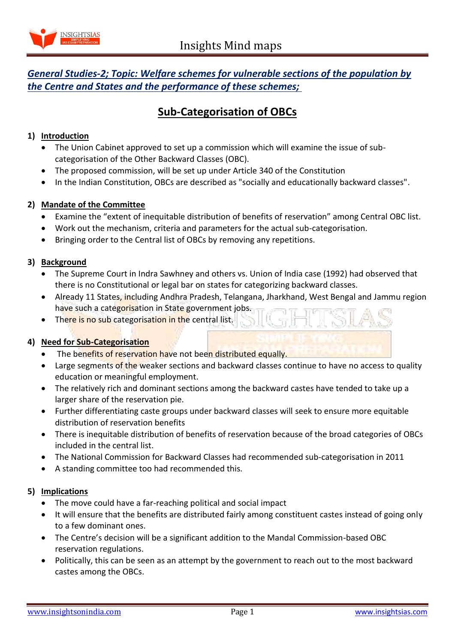

# *General Studies-2; Topic: Welfare schemes for vulnerable sections of the population by the Centre and States and the performance of these schemes;*

# **Sub-Categorisation of OBCs**

### **1) Introduction**

- The Union Cabinet approved to set up a commission which will examine the issue of subcategorisation of the Other Backward Classes (OBC).
- The proposed commission, will be set up under Article 340 of the Constitution
- In the Indian Constitution, OBCs are described as "socially and educationally backward classes".

# **2) Mandate of the Committee**

- Examine the "extent of inequitable distribution of benefits of reservation" among Central OBC list.
- Work out the mechanism, criteria and parameters for the actual sub-categorisation.
- Bringing order to the Central list of OBCs by removing any repetitions.

#### **3) Background**

- The Supreme Court in Indra Sawhney and others vs. Union of India case (1992) had observed that there is no Constitutional or legal bar on states for categorizing backward classes.
- Already 11 States, including Andhra Pradesh, Telangana, Jharkhand, West Bengal and Jammu region have such a categorisation in State government jobs.
- There is no sub categorisation in the central list.

#### **4) Need for Sub-Categorisation**

- The benefits of reservation have not been distributed equally.
- Large segments of the weaker sections and backward classes continue to have no access to quality education or meaningful employment.
- The relatively rich and dominant sections among the backward castes have tended to take up a larger share of the reservation pie.
- Further differentiating caste groups under backward classes will seek to ensure more equitable distribution of reservation benefits
- There is inequitable distribution of benefits of reservation because of the broad categories of OBCs included in the central list.
- The National Commission for Backward Classes had recommended sub-categorisation in 2011
- A standing committee too had recommended this.

#### **5) Implications**

- The move could have a far-reaching political and social impact
- It will ensure that the benefits are distributed fairly among constituent castes instead of going only to a few dominant ones.
- The Centre's decision will be a significant addition to the Mandal Commission-based OBC reservation regulations.
- Politically, this can be seen as an attempt by the government to reach out to the most backward castes among the OBCs.